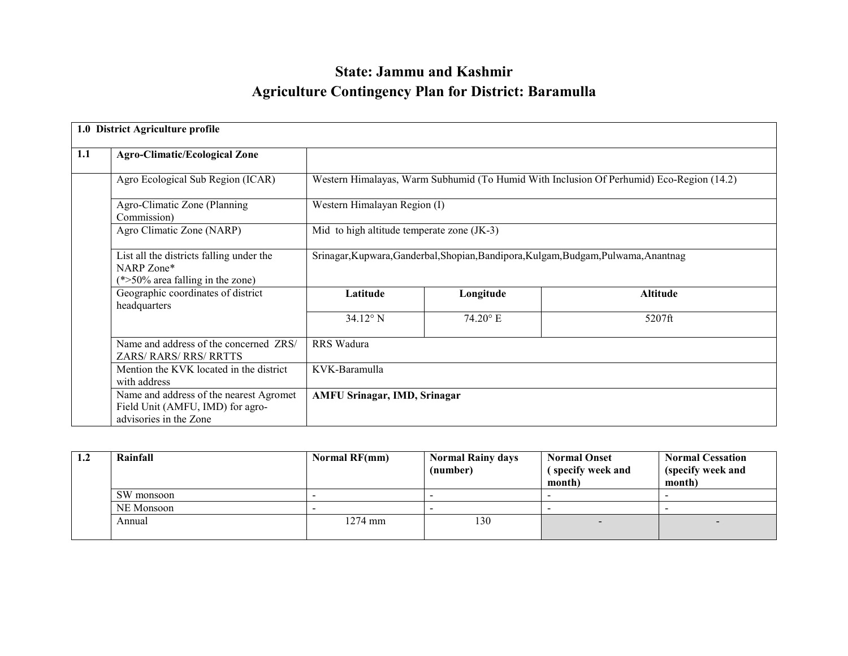# State: Jammu and KashmirAgriculture Contingency Plan for District: Baramulla

|     | 1.0 District Agriculture profile                                                                      |                                                                                     |                   |                                                                                          |  |
|-----|-------------------------------------------------------------------------------------------------------|-------------------------------------------------------------------------------------|-------------------|------------------------------------------------------------------------------------------|--|
| 1.1 | <b>Agro-Climatic/Ecological Zone</b>                                                                  |                                                                                     |                   |                                                                                          |  |
|     | Agro Ecological Sub Region (ICAR)                                                                     |                                                                                     |                   | Western Himalayas, Warm Subhumid (To Humid With Inclusion Of Perhumid) Eco-Region (14.2) |  |
|     | Agro-Climatic Zone (Planning)<br>Commission)                                                          | Western Himalayan Region (I)                                                        |                   |                                                                                          |  |
|     | Agro Climatic Zone (NARP)                                                                             | Mid to high altitude temperate zone (JK-3)                                          |                   |                                                                                          |  |
|     | List all the districts falling under the<br>NARP Zone*<br>$(*>50\%$ area falling in the zone)         | Srinagar, Kupwara, Ganderbal, Shopian, Bandipora, Kulgam, Budgam, Pulwama, Anantnag |                   |                                                                                          |  |
|     | Geographic coordinates of district<br>headquarters                                                    | Longitude<br>Latitude                                                               |                   | <b>Altitude</b>                                                                          |  |
|     |                                                                                                       | $34.12^{\circ}$ N                                                                   | $74.20^{\circ}$ E | 5207ft                                                                                   |  |
|     | Name and address of the concerned ZRS/<br><b>ZARS/ RARS/ RRS/ RRTTS</b>                               | <b>RRS</b> Wadura                                                                   |                   |                                                                                          |  |
|     | Mention the KVK located in the district<br>with address                                               | KVK-Baramulla                                                                       |                   |                                                                                          |  |
|     | Name and address of the nearest Agromet<br>Field Unit (AMFU, IMD) for agro-<br>advisories in the Zone | <b>AMFU Srinagar, IMD, Srinagar</b>                                                 |                   |                                                                                          |  |

| $1.2\,$ | Rainfall   | Normal RF(mm) | <b>Normal Rainy days</b><br>(number) | <b>Normal Onset</b><br>(specify week and<br>month) | <b>Normal Cessation</b><br>(specify week and<br>month) |
|---------|------------|---------------|--------------------------------------|----------------------------------------------------|--------------------------------------------------------|
|         | SW monsoon |               |                                      |                                                    |                                                        |
|         | NE Monsoon |               |                                      |                                                    |                                                        |
|         | Annual     | $1274$ mm     | 130                                  |                                                    |                                                        |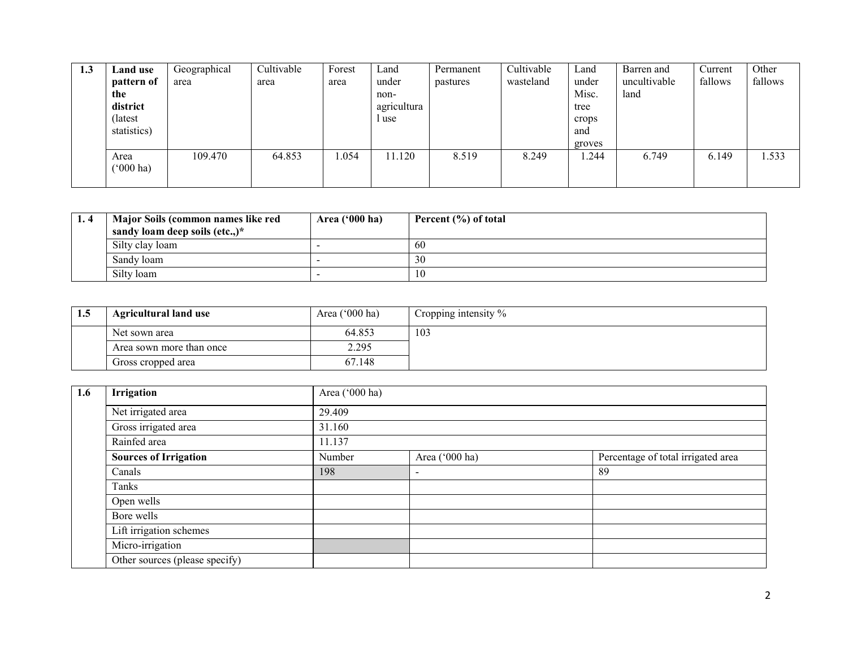| 1.3 | Land use<br>pattern of<br>the<br>district<br>(latest)<br>statistics) | Geographical<br>area | Cultivable<br>area | Forest<br>area | Land<br>under<br>non-<br>agricultura<br>l use | Permanent<br>pastures | Cultivable<br>wasteland | Land<br>under<br>Misc.<br>tree<br>crops<br>and<br>groves | Barren and<br>uncultivable<br>land | Current<br>fallows | Other<br>fallows |
|-----|----------------------------------------------------------------------|----------------------|--------------------|----------------|-----------------------------------------------|-----------------------|-------------------------|----------------------------------------------------------|------------------------------------|--------------------|------------------|
|     | Area<br>$(^{6}000 \text{ ha})$                                       | 109.470              | 64.853             | .054           | 11.120                                        | 8.519                 | 8.249                   | .244                                                     | 6.749                              | 6.149              | 1.533            |

| 1.4 | Major Soils (common names like red<br>sandy loam deep soils (etc.,)* | Area $('000 ha)$ | Percent $(\% )$ of total |
|-----|----------------------------------------------------------------------|------------------|--------------------------|
|     | Silty clay loam                                                      |                  | 60                       |
|     | Sandy loam                                                           |                  | 30                       |
|     | Silty loam                                                           |                  | 10                       |

| 1.5 | <b>Agricultural land use</b> | Area $('000 ha)$ | Cropping intensity $\%$ |
|-----|------------------------------|------------------|-------------------------|
|     | Net sown area                | 64.853           | 103                     |
|     | Area sown more than once     | 2.295            |                         |
|     | Gross cropped area           | 67.148           |                         |

| 1.6 | Irrigation                     | Area ('000 ha) |                |                                    |  |  |
|-----|--------------------------------|----------------|----------------|------------------------------------|--|--|
|     | Net irrigated area             | 29.409         |                |                                    |  |  |
|     | Gross irrigated area           | 31.160         |                |                                    |  |  |
|     | Rainfed area                   | 11.137         |                |                                    |  |  |
|     | <b>Sources of Irrigation</b>   | Number         | Area ('000 ha) | Percentage of total irrigated area |  |  |
|     | Canals                         | 198            |                | 89                                 |  |  |
|     | Tanks                          |                |                |                                    |  |  |
|     | Open wells                     |                |                |                                    |  |  |
|     | Bore wells                     |                |                |                                    |  |  |
|     | Lift irrigation schemes        |                |                |                                    |  |  |
|     | Micro-irrigation               |                |                |                                    |  |  |
|     | Other sources (please specify) |                |                |                                    |  |  |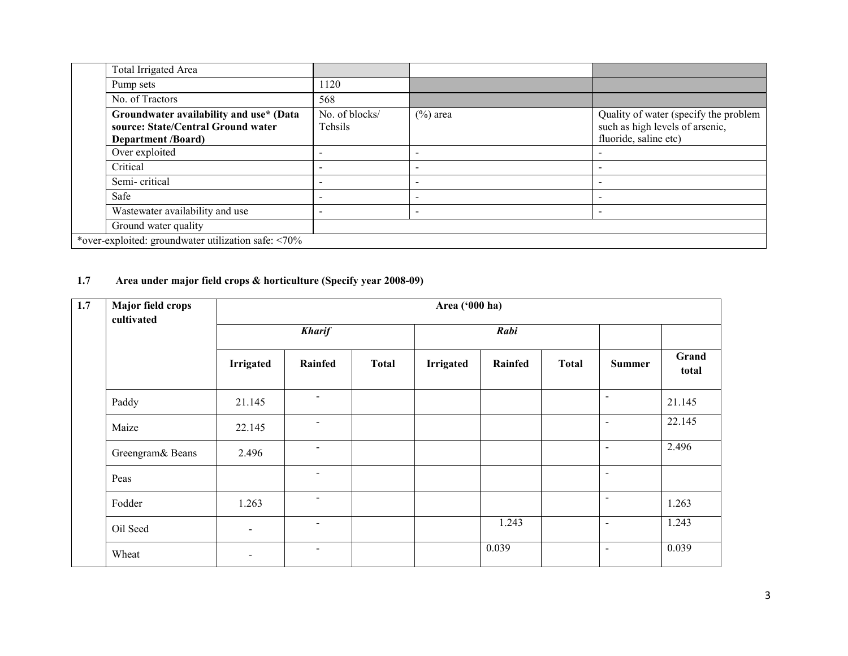|                                                     | Total Irrigated Area                                                                                       |                           |                          |                                                                                                   |
|-----------------------------------------------------|------------------------------------------------------------------------------------------------------------|---------------------------|--------------------------|---------------------------------------------------------------------------------------------------|
|                                                     | Pump sets                                                                                                  | 1120                      |                          |                                                                                                   |
|                                                     | No. of Tractors                                                                                            | 568                       |                          |                                                                                                   |
|                                                     | Groundwater availability and use* (Data<br>source: State/Central Ground water<br><b>Department /Board)</b> | No. of blocks/<br>Tehsils | $(\%)$ area              | Quality of water (specify the problem<br>such as high levels of arsenic,<br>fluoride, saline etc) |
|                                                     | Over exploited                                                                                             |                           |                          |                                                                                                   |
|                                                     | Critical                                                                                                   | $\overline{\phantom{0}}$  | -                        |                                                                                                   |
|                                                     | Semi-critical                                                                                              | $\overline{\phantom{a}}$  | $\overline{\phantom{0}}$ |                                                                                                   |
|                                                     | Safe                                                                                                       |                           |                          |                                                                                                   |
|                                                     | Wastewater availability and use                                                                            | $\overline{\phantom{a}}$  | $\overline{\phantom{a}}$ |                                                                                                   |
|                                                     | Ground water quality                                                                                       |                           |                          |                                                                                                   |
| *over-exploited: groundwater utilization safe: <70% |                                                                                                            |                           |                          |                                                                                                   |

#### 1.7 Area under major field crops & horticulture (Specify year 2008-09)

| 1.7 | <b>Major field crops</b><br>cultivated | Area ('000 ha) |                |              |                  |         |              |                |                |  |  |
|-----|----------------------------------------|----------------|----------------|--------------|------------------|---------|--------------|----------------|----------------|--|--|
|     |                                        |                | <b>Kharif</b>  |              |                  | Rabi    |              |                |                |  |  |
|     |                                        | Irrigated      | Rainfed        | <b>Total</b> | <b>Irrigated</b> | Rainfed | <b>Total</b> | <b>Summer</b>  | Grand<br>total |  |  |
|     | Paddy                                  | 21.145         | $\blacksquare$ |              |                  |         |              | $\sim$         | 21.145         |  |  |
|     | Maize                                  | 22.145         | $\blacksquare$ |              |                  |         |              | $\blacksquare$ | 22.145         |  |  |
|     | Greengram& Beans                       | 2.496          | $\blacksquare$ |              |                  |         |              | $\sim$         | 2.496          |  |  |
|     | Peas                                   |                | $\blacksquare$ |              |                  |         |              | $\blacksquare$ |                |  |  |
|     | Fodder                                 | 1.263          | $\blacksquare$ |              |                  |         |              | $\blacksquare$ | 1.263          |  |  |
|     | Oil Seed                               | $\blacksquare$ | $\sim$         |              |                  | 1.243   |              | $\sim$         | 1.243          |  |  |
|     | Wheat                                  | $\blacksquare$ | $\sim$         |              |                  | 0.039   |              | $\sim$         | 0.039          |  |  |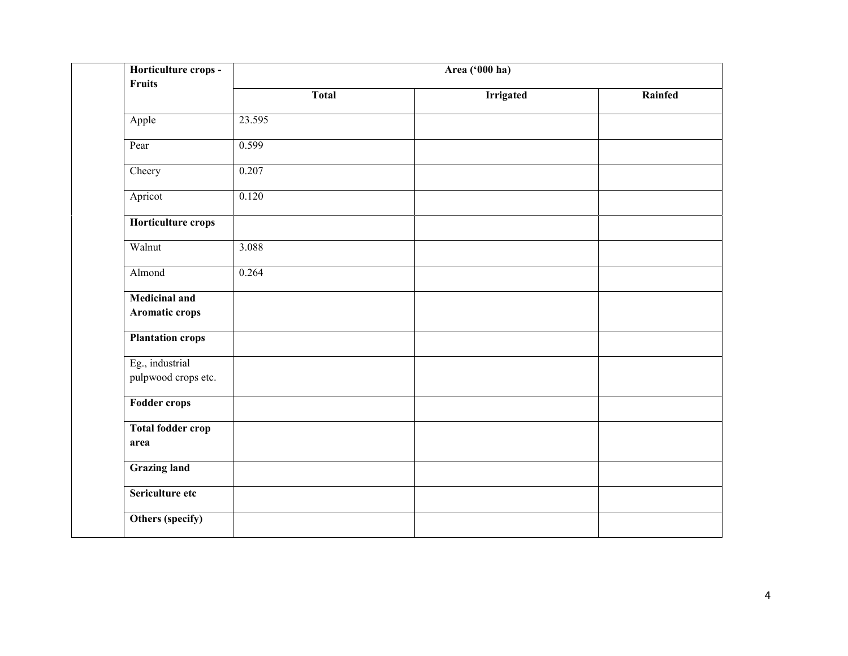| Horticulture crops -<br><b>Fruits</b>  | Area ('000 ha) |                  |         |  |  |  |
|----------------------------------------|----------------|------------------|---------|--|--|--|
|                                        | <b>Total</b>   | <b>Irrigated</b> | Rainfed |  |  |  |
| Apple                                  | 23.595         |                  |         |  |  |  |
| Pear                                   | 0.599          |                  |         |  |  |  |
| Cheery                                 | 0.207          |                  |         |  |  |  |
| Apricot                                | 0.120          |                  |         |  |  |  |
| Horticulture crops                     |                |                  |         |  |  |  |
| Walnut                                 | 3.088          |                  |         |  |  |  |
| Almond                                 | 0.264          |                  |         |  |  |  |
| <b>Medicinal and</b><br>Aromatic crops |                |                  |         |  |  |  |
| <b>Plantation crops</b>                |                |                  |         |  |  |  |
| Eg., industrial<br>pulpwood crops etc. |                |                  |         |  |  |  |
| <b>Fodder crops</b>                    |                |                  |         |  |  |  |
| <b>Total fodder crop</b><br>area       |                |                  |         |  |  |  |
| <b>Grazing land</b>                    |                |                  |         |  |  |  |
| Sericulture etc                        |                |                  |         |  |  |  |
| Others (specify)                       |                |                  |         |  |  |  |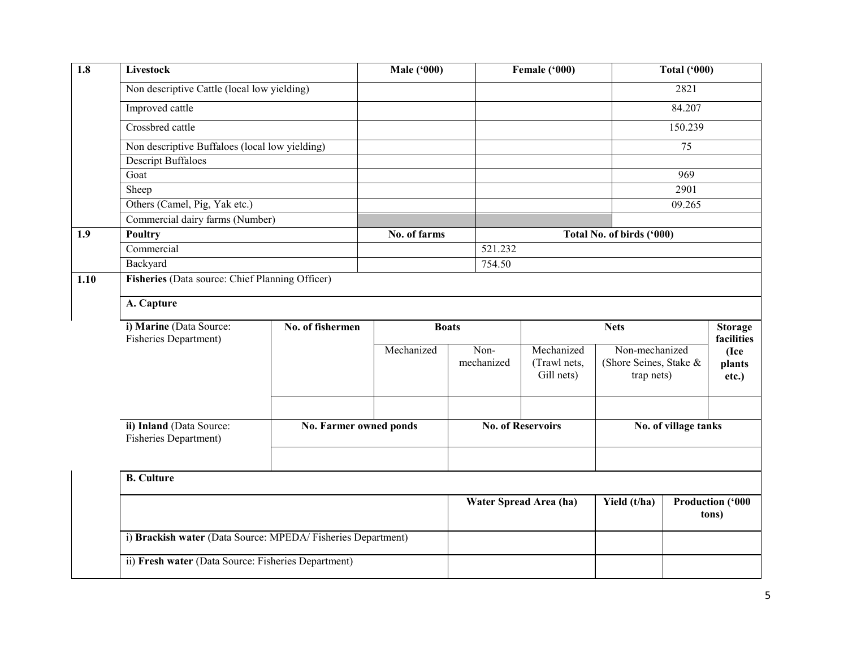| 1.8  | Livestock                                                            |                        | <b>Male ('000)</b>     |                    | Female ('000)                            |                                                        | <b>Total ('000)</b>  |                                       |  |  |
|------|----------------------------------------------------------------------|------------------------|------------------------|--------------------|------------------------------------------|--------------------------------------------------------|----------------------|---------------------------------------|--|--|
|      | Non descriptive Cattle (local low yielding)                          |                        |                        |                    |                                          |                                                        | 2821                 |                                       |  |  |
|      | Improved cattle                                                      |                        |                        |                    |                                          |                                                        | 84.207               |                                       |  |  |
|      | Crossbred cattle                                                     |                        |                        |                    |                                          |                                                        | 150.239              |                                       |  |  |
|      | Non descriptive Buffaloes (local low yielding)                       |                        |                        |                    |                                          |                                                        | 75                   |                                       |  |  |
|      | <b>Descript Buffaloes</b>                                            |                        |                        |                    |                                          |                                                        |                      |                                       |  |  |
|      | Goat                                                                 |                        |                        |                    |                                          |                                                        | 969                  |                                       |  |  |
|      | Sheep                                                                |                        |                        |                    |                                          |                                                        | 2901                 |                                       |  |  |
|      | Others (Camel, Pig, Yak etc.)                                        |                        |                        |                    |                                          |                                                        | 09.265               |                                       |  |  |
|      | Commercial dairy farms (Number)                                      |                        |                        |                    |                                          |                                                        |                      |                                       |  |  |
| 1.9  | Poultry<br>Commercial<br>Backyard                                    |                        | No. of farms           |                    |                                          | Total No. of birds ('000)                              |                      |                                       |  |  |
|      |                                                                      |                        |                        | 521.232            |                                          |                                                        |                      |                                       |  |  |
|      |                                                                      |                        |                        | 754.50             |                                          |                                                        |                      |                                       |  |  |
| 1.10 | Fisheries (Data source: Chief Planning Officer)                      |                        |                        |                    |                                          |                                                        |                      |                                       |  |  |
|      | A. Capture                                                           |                        |                        |                    |                                          |                                                        |                      |                                       |  |  |
|      | i) Marine (Data Source:<br>No. of fishermen<br>Fisheries Department) |                        | <b>Boats</b>           |                    |                                          |                                                        | <b>Nets</b>          |                                       |  |  |
|      |                                                                      |                        | Mechanized             | Non-<br>mechanized | Mechanized<br>(Trawl nets,<br>Gill nets) | Non-mechanized<br>(Shore Seines, Stake &<br>trap nets) |                      | facilities<br>(Ice<br>plants<br>etc.) |  |  |
|      | ii) Inland (Data Source:<br>Fisheries Department)                    |                        | No. Farmer owned ponds |                    | <b>No. of Reservoirs</b>                 |                                                        | No. of village tanks |                                       |  |  |
|      |                                                                      |                        |                        |                    |                                          |                                                        |                      |                                       |  |  |
|      | <b>B.</b> Culture                                                    |                        |                        |                    |                                          |                                                        |                      |                                       |  |  |
|      |                                                                      | Water Spread Area (ha) |                        | Yield (t/ha)       | <b>Production ('000</b><br>tons)         |                                                        |                      |                                       |  |  |
|      | i) Brackish water (Data Source: MPEDA/Fisheries Department)          |                        |                        |                    |                                          |                                                        |                      |                                       |  |  |
|      | ii) Fresh water (Data Source: Fisheries Department)                  |                        |                        |                    |                                          |                                                        |                      |                                       |  |  |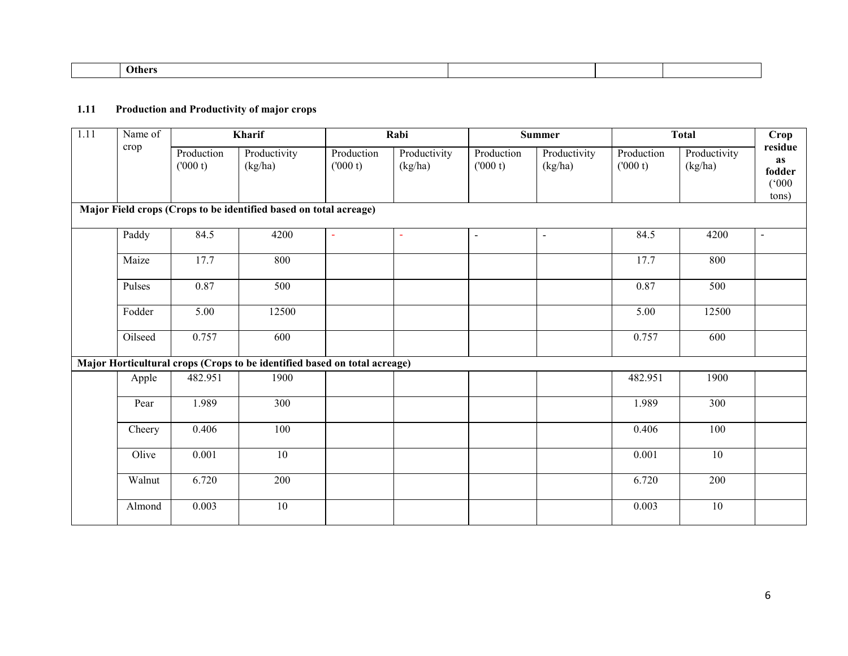| .her⁄ |  |  |  |
|-------|--|--|--|
|       |  |  |  |

#### 1.11 Production and Productivity of major crops

| 1.11 | Name of | Kharif                |                                                                           |                       | Rabi                    |                       | <b>Summer</b>           |                       | <b>Total</b>            |                                           |
|------|---------|-----------------------|---------------------------------------------------------------------------|-----------------------|-------------------------|-----------------------|-------------------------|-----------------------|-------------------------|-------------------------------------------|
|      | crop    | Production<br>(000 t) | Productivity<br>(kg/ha)                                                   | Production<br>(000 t) | Productivity<br>(kg/ha) | Production<br>(000 t) | Productivity<br>(kg/ha) | Production<br>(000 t) | Productivity<br>(kg/ha) | residue<br>as<br>fodder<br>(000)<br>tons) |
|      |         |                       | Major Field crops (Crops to be identified based on total acreage)         |                       |                         |                       |                         |                       |                         |                                           |
|      | Paddy   | 84.5                  | 4200                                                                      | $\blacksquare$        | $\sim$                  | $\blacksquare$        | $\blacksquare$          | 84.5                  | 4200                    | $\blacksquare$                            |
|      | Maize   | 17.7                  | 800                                                                       |                       |                         |                       |                         | 17.7                  | 800                     |                                           |
|      | Pulses  | 0.87                  | 500                                                                       |                       |                         |                       |                         | 0.87                  | 500                     |                                           |
|      | Fodder  | 5.00                  | 12500                                                                     |                       |                         |                       |                         | 5.00                  | 12500                   |                                           |
|      | Oilseed | 0.757                 | 600                                                                       |                       |                         |                       |                         | 0.757                 | 600                     |                                           |
|      |         |                       | Major Horticultural crops (Crops to be identified based on total acreage) |                       |                         |                       |                         |                       |                         |                                           |
|      | Apple   | 482.951               | 1900                                                                      |                       |                         |                       |                         | 482.951               | 1900                    |                                           |
|      | Pear    | 1.989                 | $\overline{300}$                                                          |                       |                         |                       |                         | 1.989                 | 300                     |                                           |
|      | Cheery  | 0.406                 | 100                                                                       |                       |                         |                       |                         | 0.406                 | 100                     |                                           |
|      | Olive   | 0.001                 | 10                                                                        |                       |                         |                       |                         | 0.001                 | 10                      |                                           |
|      | Walnut  | 6.720                 | 200                                                                       |                       |                         |                       |                         | 6.720                 | 200                     |                                           |
|      | Almond  | 0.003                 | 10                                                                        |                       |                         |                       |                         | 0.003                 | $10\,$                  |                                           |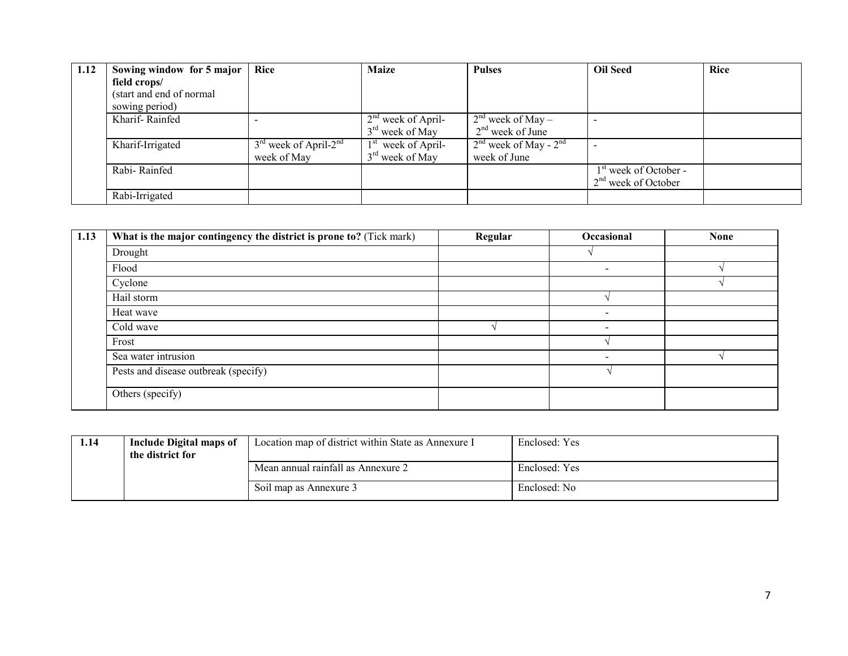| 1.12 | Sowing window for 5 major | Rice                                | <b>Maize</b>                   | <b>Pulses</b>             | <b>Oil Seed</b>         | <b>Rice</b> |
|------|---------------------------|-------------------------------------|--------------------------------|---------------------------|-------------------------|-------------|
|      | field crops/              |                                     |                                |                           |                         |             |
|      | (start and end of normal) |                                     |                                |                           |                         |             |
|      | sowing period)            |                                     |                                |                           |                         |             |
|      | Kharif-Rainfed            |                                     | $2nd$ week of April-           | $2nd$ week of May –       |                         |             |
|      |                           |                                     | $3rd$ week of May              | $2nd$ week of June        |                         |             |
|      | Kharif-Irrigated          | $3rd$ week of April-2 <sup>nd</sup> | 1 <sup>st</sup> week of April- | $2nd$ week of May - $2nd$ |                         |             |
|      |                           | week of May                         | $3rd$ week of May              | week of June              |                         |             |
|      | Rabi-Rainfed              |                                     |                                |                           | $1st$ week of October - |             |
|      |                           |                                     |                                |                           | $2nd$ week of October   |             |
|      | Rabi-Irrigated            |                                     |                                |                           |                         |             |

| 1.13 | What is the major contingency the district is prone to? (Tick mark) | Regular | Occasional               | <b>None</b> |
|------|---------------------------------------------------------------------|---------|--------------------------|-------------|
|      | Drought                                                             |         |                          |             |
|      | Flood                                                               |         | $\overline{\phantom{0}}$ |             |
|      | Cyclone                                                             |         |                          |             |
|      | Hail storm                                                          |         |                          |             |
|      | Heat wave                                                           |         | $\overline{\phantom{a}}$ |             |
|      | Cold wave                                                           |         | $\overline{\phantom{a}}$ |             |
|      | Frost                                                               |         |                          |             |
|      | Sea water intrusion                                                 |         | $\overline{\phantom{a}}$ |             |
|      | Pests and disease outbreak (specify)                                |         |                          |             |
|      | Others (specify)                                                    |         |                          |             |

| 1.14 | Include Digital maps of<br>the district for | Location map of district within State as Annexure I | Enclosed: Yes |
|------|---------------------------------------------|-----------------------------------------------------|---------------|
|      |                                             | Mean annual rainfall as Annexure 2                  | Enclosed: Yes |
|      |                                             | Soil map as Annexure 3                              | Enclosed: No  |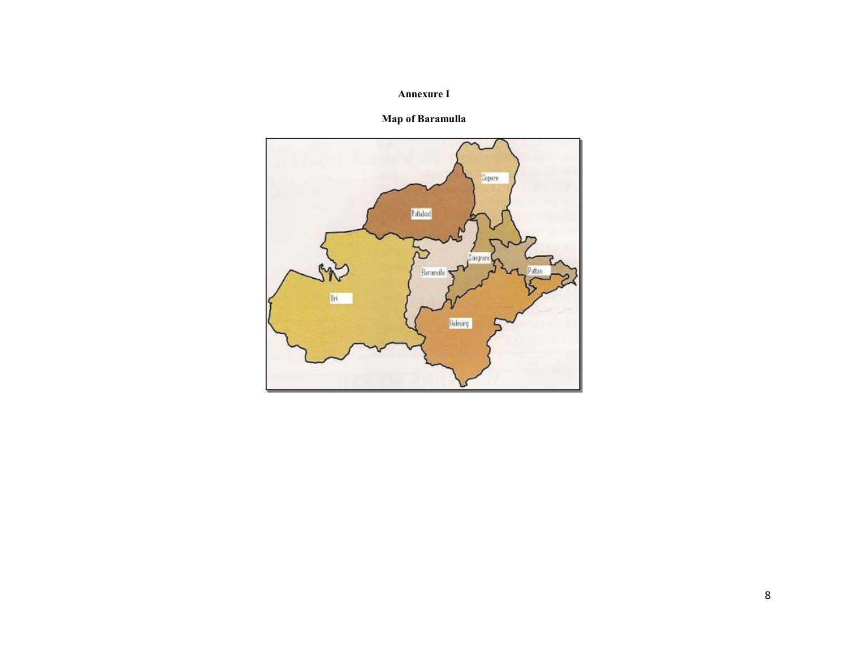### Annexure I

## Map of Baramulla

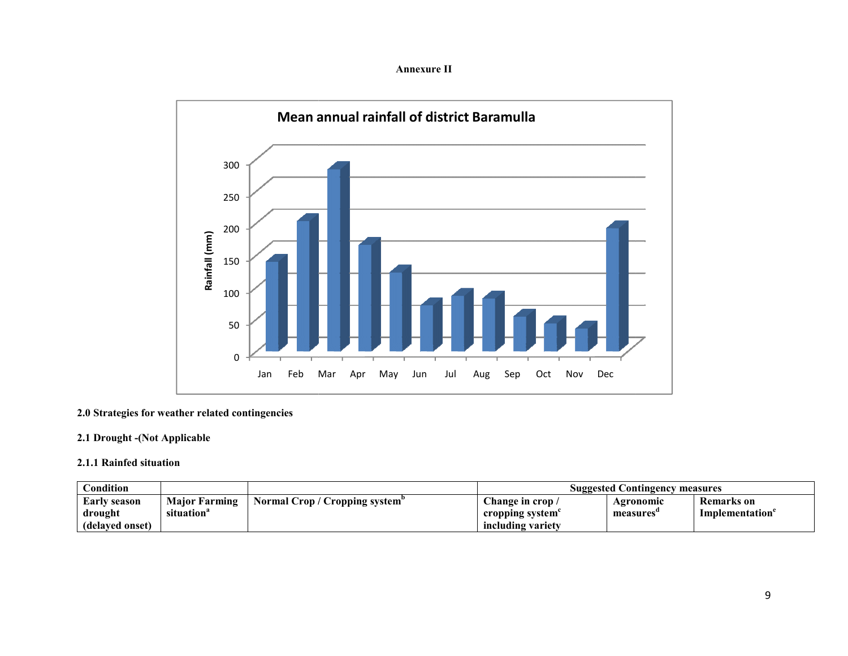Annexure II



#### 2.0 Strategies for weather related contingencies

#### 2.1 Drought -(Not Applicable

#### 2.1.1 Rainfed situation

| Condition           |                      |                                            | <b>Suggested Contingency measures</b> |           |                   |
|---------------------|----------------------|--------------------------------------------|---------------------------------------|-----------|-------------------|
| <b>Early season</b> | <b>Maior Farming</b> | Normal Crop / Cropping system <sup>p</sup> | change in crop /                      | Agronomic | <b>Remarks</b> on |
| drought             | situation            |                                            | cropping system                       | measures  | Implementation    |
| (delaved onset)     |                      |                                            | including variety                     |           |                   |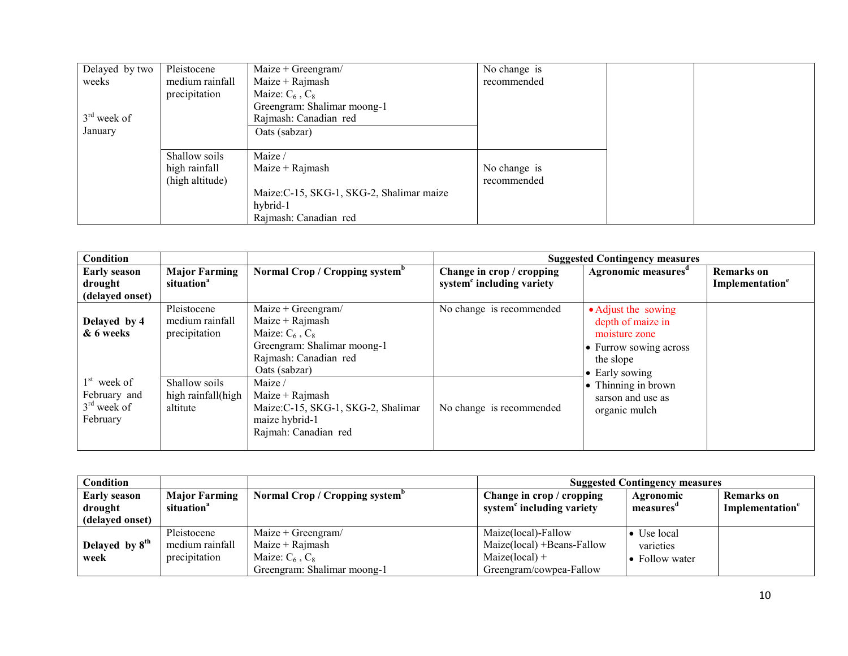| Delayed by two | Pleistocene     | Maize + Greengram/                        | No change is |  |
|----------------|-----------------|-------------------------------------------|--------------|--|
| weeks          | medium rainfall | Maize $+$ Rajmash                         | recommended  |  |
|                | precipitation   | Maize: $C_6$ , $C_8$                      |              |  |
|                |                 | Greengram: Shalimar moong-1               |              |  |
| $3rd$ week of  |                 | Rajmash: Canadian red                     |              |  |
| January        |                 | Oats (sabzar)                             |              |  |
|                |                 |                                           |              |  |
|                | Shallow soils   | Maize /                                   |              |  |
|                | high rainfall   | Maize $+$ Rajmash                         | No change is |  |
|                | (high altitude) |                                           | recommended  |  |
|                |                 | Maize: C-15, SKG-1, SKG-2, Shalimar maize |              |  |
|                |                 | hybrid-1                                  |              |  |
|                |                 | Rajmash: Canadian red                     |              |  |

| Condition                                                  |                                                 |                                                                                                                                            |                                                                    | <b>Suggested Contingency measures</b>                                                                              |                                                  |
|------------------------------------------------------------|-------------------------------------------------|--------------------------------------------------------------------------------------------------------------------------------------------|--------------------------------------------------------------------|--------------------------------------------------------------------------------------------------------------------|--------------------------------------------------|
| <b>Early season</b><br>drought<br>(delayed onset)          | <b>Major Farming</b><br>situation <sup>a</sup>  | Normal Crop / Cropping system <sup>b</sup>                                                                                                 | Change in crop / cropping<br>system <sup>c</sup> including variety | Agronomic measures <sup>a</sup>                                                                                    | <b>Remarks</b> on<br>Implementation <sup>e</sup> |
| Delayed by 4<br>& 6 weeks                                  | Pleistocene<br>medium rainfall<br>precipitation | $Maize + Greengram/$<br>Maize + $Rajmash$<br>Maize: $C_6$ , $C_8$<br>Greengram: Shalimar moong-1<br>Rajmash: Canadian red<br>Oats (sabzar) | No change is recommended                                           | • Adjust the sowing<br>depth of maize in<br>moisture zone<br>• Furrow sowing across<br>the slope<br>• Early sowing |                                                  |
| $1st$ week of<br>February and<br>$3rd$ week of<br>February | Shallow soils<br>high rainfall(high<br>altitute | Maize /<br>Maize + $Rajmash$<br>Maize: C-15, SKG-1, SKG-2, Shalimar<br>maize hybrid-1<br>Rajmah: Canadian red                              | No change is recommended                                           | • Thinning in brown<br>sarson and use as<br>organic mulch                                                          |                                                  |

| Condition           |                        |                                            | <b>Suggested Contingency measures</b> |                        |                             |
|---------------------|------------------------|--------------------------------------------|---------------------------------------|------------------------|-----------------------------|
| <b>Early season</b> | <b>Major Farming</b>   | Normal Crop / Cropping system <sup>p</sup> | Change in crop / cropping             | <b>Agronomic</b>       | <b>Remarks</b> on           |
| drought             | situation <sup>a</sup> |                                            | system <sup>c</sup> including variety | measures               | Implementation <sup>e</sup> |
| (delayed onset)     |                        |                                            |                                       |                        |                             |
|                     | Pleistocene            | Maize + Greengram/                         | Maize(local)-Fallow                   | $\bullet$ Use local    |                             |
| Delayed by $8th$    | medium rainfall        | $Maize + Rajmask$                          | $Maize(local) + Beans-Fallow$         | varieties              |                             |
| week                | precipitation          | Maize: $C_6$ , $C_8$                       | $Maize(local) +$                      | $\bullet$ Follow water |                             |
|                     |                        | Greengram: Shalimar moong-1                | Greengram/cowpea-Fallow               |                        |                             |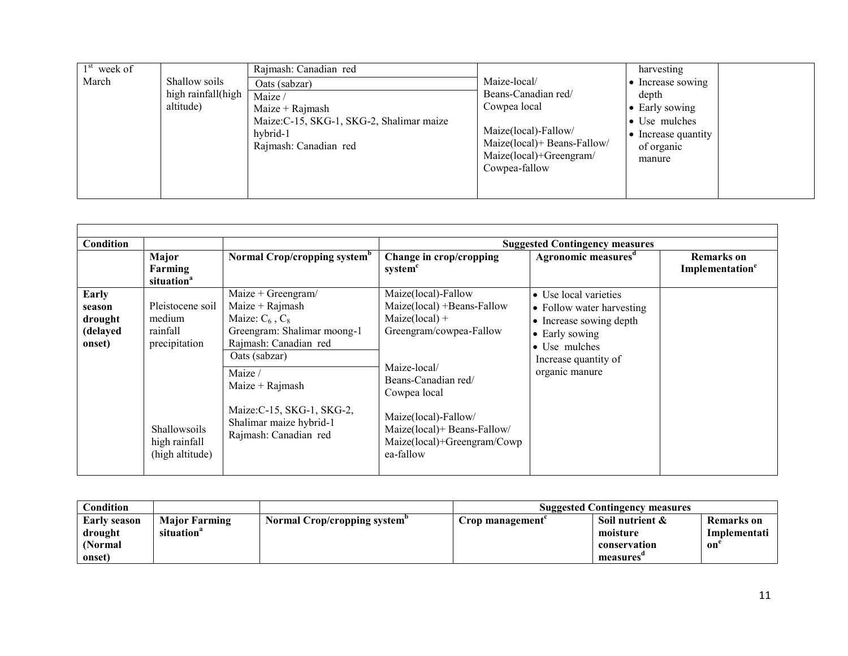| $1st$ week of                                             | Rajmash: Canadian red                                                                                                          |                                                                                                                                                        | harvesting                                                                                                                   |
|-----------------------------------------------------------|--------------------------------------------------------------------------------------------------------------------------------|--------------------------------------------------------------------------------------------------------------------------------------------------------|------------------------------------------------------------------------------------------------------------------------------|
| March<br>Shallow soils<br>high rainfall(high<br>altitude) | Oats (sabzar)<br>Maize /<br>$Maize + Rajmask$<br>Maize:C-15, SKG-1, SKG-2, Shalimar maize<br>hybrid-1<br>Rajmash: Canadian red | Maize-local/<br>Beans-Canadian red/<br>Cowpea local<br>Maize(local)-Fallow/<br>Maize(local)+ Beans-Fallow/<br>Maize(local)+Greengram/<br>Cowpea-fallow | • Increase sowing<br>depth<br>$\bullet$ Early sowing<br>• Use mulches<br>$\bullet$ Increase quantity<br>of organic<br>manure |

| Condition                                        |                                                                                                             |                                                                                                                                                                                                                                                             |                                                                                                                                                                                                                                                            | <b>Suggested Contingency measures</b>                                                                                                                      |                                                  |
|--------------------------------------------------|-------------------------------------------------------------------------------------------------------------|-------------------------------------------------------------------------------------------------------------------------------------------------------------------------------------------------------------------------------------------------------------|------------------------------------------------------------------------------------------------------------------------------------------------------------------------------------------------------------------------------------------------------------|------------------------------------------------------------------------------------------------------------------------------------------------------------|--------------------------------------------------|
|                                                  | Major<br>Farming<br>situation <sup>a</sup>                                                                  | Normal Crop/cropping system <sup>b</sup>                                                                                                                                                                                                                    | Change in crop/cropping<br>system <sup>c</sup>                                                                                                                                                                                                             | Agronomic measures <sup>d</sup>                                                                                                                            | <b>Remarks</b> on<br>Implementation <sup>e</sup> |
| Early<br>season<br>drought<br>(delayed<br>onset) | Pleistocene soil<br>medium<br>rainfall<br>precipitation<br>Shallowsoils<br>high rainfall<br>(high altitude) | $Maize + Greengram/$<br>Maize + $Rajmash$<br>Maize: $C_6$ , $C_8$<br>Greengram: Shalimar moong-1<br>Rajmash: Canadian red<br>Oats (sabzar)<br>Maize /<br>Maize + $Rajmash$<br>Maize:C-15, SKG-1, SKG-2,<br>Shalimar maize hybrid-1<br>Rajmash: Canadian red | Maize(local)-Fallow<br>Maize(local) +Beans-Fallow<br>$Maize(local) +$<br>Greengram/cowpea-Fallow<br>Maize-local/<br>Beans-Canadian red/<br>Cowpea local<br>Maize(local)-Fallow/<br>Maize(local)+ Beans-Fallow/<br>Maize(local)+Greengram/Cowp<br>ea-fallow | • Use local varieties<br>• Follow water harvesting<br>• Increase sowing depth<br>• Early sowing<br>• Use mulches<br>Increase quantity of<br>organic manure |                                                  |

| Condition           |                        |                              | <b>Suggested Contingency measures</b> |                 |              |
|---------------------|------------------------|------------------------------|---------------------------------------|-----------------|--------------|
| <b>Early season</b> | <b>Major Farming</b>   | Normal Crop/cropping system" | Crop management                       | Soil nutrient & | Remarks on   |
| drought             | situation <sup>a</sup> |                              |                                       | moisture        | Implementati |
| (Normal)            |                        |                              |                                       | conservation    | on`          |
| onset)              |                        |                              |                                       | measures        |              |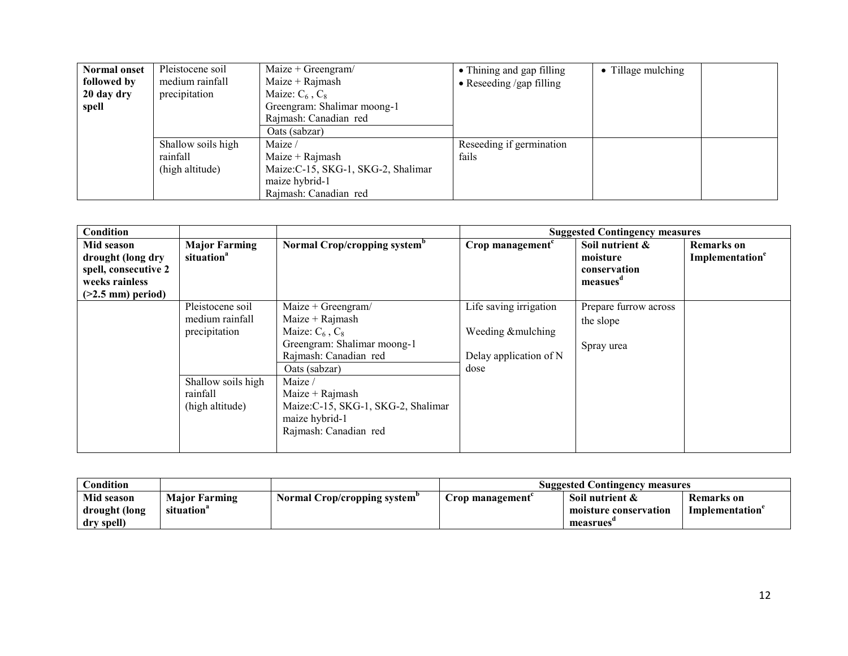| <b>Normal onset</b> | Pleistocene soil   | Maize + Greengram/                  | • Thining and gap filling        | • Tillage mulching |  |
|---------------------|--------------------|-------------------------------------|----------------------------------|--------------------|--|
| followed by         | medium rainfall    | Maize $+$ Rajmash                   | $\bullet$ Reseeding /gap filling |                    |  |
| 20 day dry          | precipitation      | Maize: $C_6$ , $C_8$                |                                  |                    |  |
| spell               |                    | Greengram: Shalimar moong-1         |                                  |                    |  |
|                     |                    | Rajmash: Canadian red               |                                  |                    |  |
|                     |                    | Oats (sabzar)                       |                                  |                    |  |
|                     | Shallow soils high | Maize /                             | Reseeding if germination         |                    |  |
|                     | rainfall           | Maize $+$ Rajmash                   | fails                            |                    |  |
|                     | (high altitude)    | Maize: C-15, SKG-1, SKG-2, Shalimar |                                  |                    |  |
|                     |                    | maize hybrid-1                      |                                  |                    |  |
|                     |                    | Rajmash: Canadian red               |                                  |                    |  |

| Condition                                                                                        |                                                                                                           |                                                                                                                                                                                                                                                            |                                                                                | <b>Suggested Contingency measures</b>                               |                                                  |
|--------------------------------------------------------------------------------------------------|-----------------------------------------------------------------------------------------------------------|------------------------------------------------------------------------------------------------------------------------------------------------------------------------------------------------------------------------------------------------------------|--------------------------------------------------------------------------------|---------------------------------------------------------------------|--------------------------------------------------|
| Mid season<br>drought (long dry<br>spell, consecutive 2<br>weeks rainless<br>$(>2.5$ mm) period) | <b>Major Farming</b><br>situation <sup>a</sup>                                                            | Normal Crop/cropping system <sup>p</sup>                                                                                                                                                                                                                   | Crop management <sup>c</sup>                                                   | Soil nutrient &<br>moisture<br>conservation<br>measues <sup>d</sup> | <b>Remarks</b> on<br>Implementation <sup>e</sup> |
|                                                                                                  | Pleistocene soil<br>medium rainfall<br>precipitation<br>Shallow soils high<br>rainfall<br>(high altitude) | Maize + Greengram/<br>$Maize + Rajmask$<br>Maize: $C_6$ , $C_8$<br>Greengram: Shalimar moong-1<br>Rajmash: Canadian red<br>Oats (sabzar)<br>Maize /<br>Maize + $Rajmash$<br>Maize: C-15, SKG-1, SKG-2, Shalimar<br>maize hybrid-1<br>Rajmash: Canadian red | Life saving irrigation<br>Weeding & mulching<br>Delay application of N<br>dose | Prepare furrow across<br>the slope<br>Spray urea                    |                                                  |

| Condition     |                      |                                          | <b>Suggested Contingency measures</b> |                       |                |
|---------------|----------------------|------------------------------------------|---------------------------------------|-----------------------|----------------|
| Mid season    | <b>Maior Farming</b> | Normal Crop/cropping system <sup>"</sup> | rop management                        | Soil nutrient &       | Remarks on     |
| drought (long | situation            |                                          |                                       | moisture conservation | Implementation |
| spell)<br>dry |                      |                                          |                                       | measrues              |                |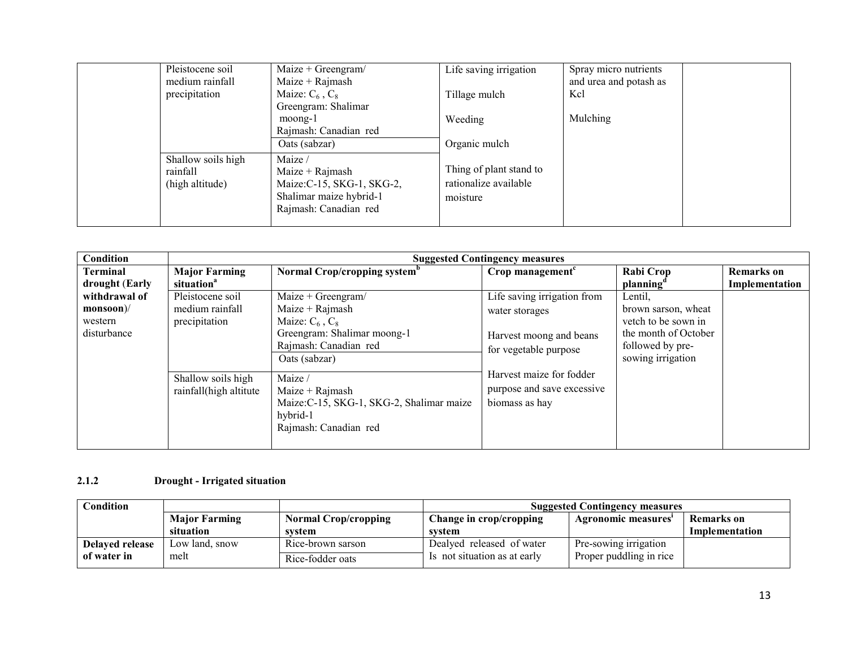| Pleistocene soil<br>medium rainfall               | Maize + Greengram/<br>$Maize + Rajmash$                                                                        | Life saving irrigation                                       | Spray micro nutrients<br>and urea and potash as |
|---------------------------------------------------|----------------------------------------------------------------------------------------------------------------|--------------------------------------------------------------|-------------------------------------------------|
| precipitation                                     | Maize: $C_6$ , $C_8$<br>Greengram: Shalimar                                                                    | Tillage mulch                                                | Kcl                                             |
|                                                   | moong-1<br>Rajmash: Canadian red                                                                               | Weeding                                                      | Mulching                                        |
|                                                   | Oats (sabzar)                                                                                                  | Organic mulch                                                |                                                 |
| Shallow soils high<br>rainfall<br>(high altitude) | Maize /<br>Maize + $Rajmash$<br>Maize: C-15, SKG-1, SKG-2,<br>Shalimar maize hybrid-1<br>Rajmash: Canadian red | Thing of plant stand to<br>rationalize available<br>moisture |                                                 |

| Condition                                            |                                                                                                      | <b>Suggested Contingency measures</b>                                                                                                                                                                                                                        |                                                                                                                                                                               |                                                                                                                        |                                     |  |  |
|------------------------------------------------------|------------------------------------------------------------------------------------------------------|--------------------------------------------------------------------------------------------------------------------------------------------------------------------------------------------------------------------------------------------------------------|-------------------------------------------------------------------------------------------------------------------------------------------------------------------------------|------------------------------------------------------------------------------------------------------------------------|-------------------------------------|--|--|
| <b>Terminal</b><br>drought (Early                    | <b>Major Farming</b><br>situation <sup>a</sup>                                                       | Normal Crop/cropping system <sup>b</sup>                                                                                                                                                                                                                     | Crop management $c$                                                                                                                                                           | <b>Rabi Crop</b><br>planning                                                                                           | <b>Remarks</b> on<br>Implementation |  |  |
| withdrawal of<br>$monsoon$<br>western<br>disturbance | Pleistocene soil<br>medium rainfall<br>precipitation<br>Shallow soils high<br>rainfall(high altitute | $Maize + Greengram/$<br>$Maize + Rajmash$<br>Maize: $C_6$ , $C_8$<br>Greengram: Shalimar moong-1<br>Rajmash: Canadian red<br>Oats (sabzar)<br>Maize /<br>$Maize + Rajmash$<br>Maize: C-15, SKG-1, SKG-2, Shalimar maize<br>hybrid-1<br>Rajmash: Canadian red | Life saving irrigation from<br>water storages<br>Harvest moong and beans<br>for vegetable purpose<br>Harvest maize for fodder<br>purpose and save excessive<br>biomass as hay | Lentil,<br>brown sarson, wheat<br>vetch to be sown in<br>the month of October<br>followed by pre-<br>sowing irrigation |                                     |  |  |

### 2.1.2 Drought - Irrigated situation

| $\complement$ ondition |                      |                             | <b>Suggested Contingency measures</b> |                         |                   |
|------------------------|----------------------|-----------------------------|---------------------------------------|-------------------------|-------------------|
|                        | <b>Major Farming</b> | <b>Normal Crop/cropping</b> | Change in crop/cropping               | Agronomic measures      | <b>Remarks</b> on |
|                        | situation            | system                      | system                                |                         | Implementation    |
| <b>Delayed release</b> | Low land, snow       | Rice-brown sarson           | Dealyed released of water             | Pre-sowing irrigation   |                   |
| of water in            | melt                 | Rice-fodder oats            | Is not situation as at early          | Proper puddling in rice |                   |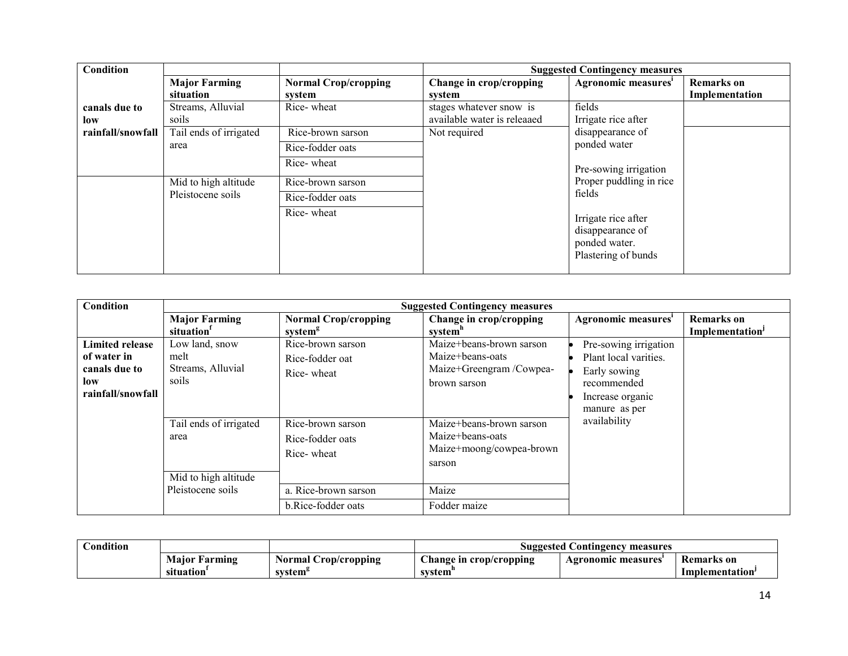| Condition         |                        |                             |                             | <b>Suggested Contingency measures</b>                                           |                   |
|-------------------|------------------------|-----------------------------|-----------------------------|---------------------------------------------------------------------------------|-------------------|
|                   | <b>Major Farming</b>   | <b>Normal Crop/cropping</b> | Change in crop/cropping     | Agronomic measures <sup>1</sup>                                                 | <b>Remarks</b> on |
|                   | situation              | system                      | system                      |                                                                                 | Implementation    |
| canals due to     | Streams, Alluvial      | Rice-wheat                  | stages whatever snow is     | fields                                                                          |                   |
| low               | soils                  |                             | available water is releaaed | Irrigate rice after                                                             |                   |
| rainfall/snowfall | Tail ends of irrigated | Rice-brown sarson           | Not required                | disappearance of                                                                |                   |
|                   | area                   | Rice-fodder oats            |                             | ponded water                                                                    |                   |
|                   |                        | Rice-wheat                  |                             | Pre-sowing irrigation                                                           |                   |
|                   | Mid to high altitude   | Rice-brown sarson           |                             | Proper puddling in rice                                                         |                   |
|                   | Pleistocene soils      | Rice-fodder oats            |                             | fields                                                                          |                   |
|                   |                        | Rice-wheat                  |                             | Irrigate rice after<br>disappearance of<br>ponded water.<br>Plastering of bunds |                   |

| <b>Condition</b>                                                                   | <b>Suggested Contingency measures</b>                                       |                                                                             |                                                                                             |                                                                                                                    |                                     |  |
|------------------------------------------------------------------------------------|-----------------------------------------------------------------------------|-----------------------------------------------------------------------------|---------------------------------------------------------------------------------------------|--------------------------------------------------------------------------------------------------------------------|-------------------------------------|--|
|                                                                                    | <b>Major Farming</b><br>situation                                           | <b>Normal Crop/cropping</b><br>system <sup>g</sup>                          | Change in crop/cropping<br>system <sup>n</sup>                                              | Agronomic measures <sup>i</sup>                                                                                    | <b>Remarks</b> on<br>Implementation |  |
| <b>Limited release</b><br>of water in<br>canals due to<br>low<br>rainfall/snowfall | Low land, snow<br>melt<br>Streams, Alluvial<br>soils                        | Rice-brown sarson<br>Rice-fodder oat<br>Rice-wheat                          | Maize+beans-brown sarson<br>Maize+beans-oats<br>Maize+Greengram /Cowpea-<br>brown sarson    | Pre-sowing irrigation<br>Plant local varities.<br>Early sowing<br>recommended<br>Increase organic<br>manure as per |                                     |  |
|                                                                                    | Tail ends of irrigated<br>area<br>Mid to high altitude<br>Pleistocene soils | Rice-brown sarson<br>Rice-fodder oats<br>Rice-wheat<br>a. Rice-brown sarson | Maize+beans-brown sarson<br>Maize+beans-oats<br>Maize+moong/cowpea-brown<br>sarson<br>Maize | availability                                                                                                       |                                     |  |
|                                                                                    |                                                                             | b.Rice-fodder oats                                                          | Fodder maize                                                                                |                                                                                                                    |                                     |  |

| <b>condition</b> |                               |                                   | . Contingency<br>Suggested<br>measures      |                         |                                     |
|------------------|-------------------------------|-----------------------------------|---------------------------------------------|-------------------------|-------------------------------------|
|                  | Maior<br>Farming<br>situation | Normal<br>Crop/cropping<br>system | $\sim$<br>Change in crop/cropping<br>svstem | : measures<br>Agronomic | Remarks on<br><b>Implementation</b> |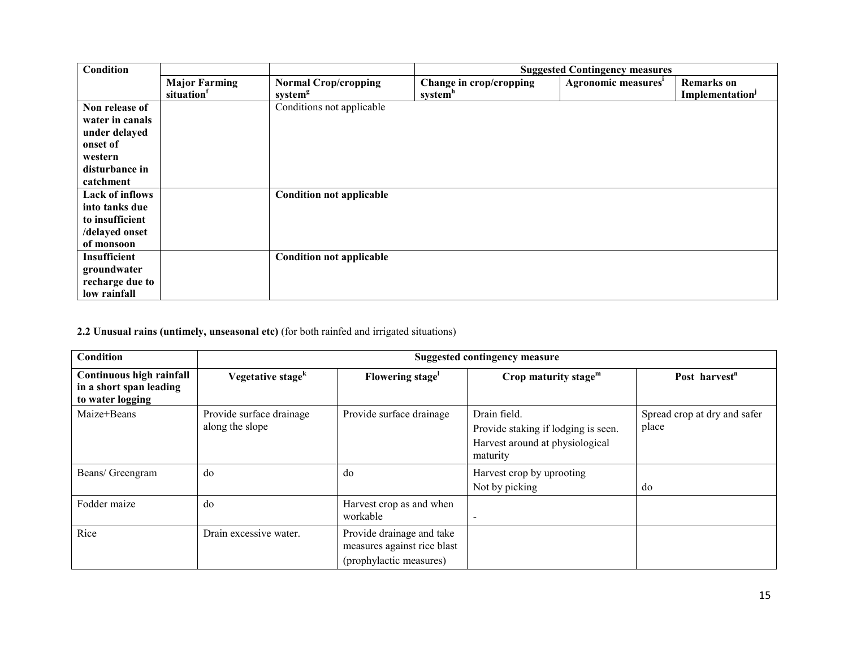| Condition                                                                                                |                                   |                                                    |                                    | <b>Suggested Contingency measures</b> |                                                         |
|----------------------------------------------------------------------------------------------------------|-----------------------------------|----------------------------------------------------|------------------------------------|---------------------------------------|---------------------------------------------------------|
|                                                                                                          | <b>Major Farming</b><br>situation | <b>Normal Crop/cropping</b><br>system <sup>8</sup> | Change in crop/cropping<br>system" | Agronomic measures <sup>1</sup>       | <b>Remarks</b> on<br><b>Implementation</b> <sup>J</sup> |
| Non release of<br>water in canals<br>under delayed<br>onset of<br>western<br>disturbance in<br>catchment |                                   | Conditions not applicable                          |                                    |                                       |                                                         |
| Lack of inflows<br>into tanks due<br>to insufficient<br>/delayed onset<br>of monsoon                     |                                   | <b>Condition not applicable</b>                    |                                    |                                       |                                                         |
| Insufficient<br>groundwater<br>recharge due to<br>low rainfall                                           |                                   | <b>Condition not applicable</b>                    |                                    |                                       |                                                         |

2.2 Unusual rains (untimely, unseasonal etc) (for both rainfed and irrigated situations)

| Condition                                                               | <b>Suggested contingency measure</b>        |                                                                                     |                                                                                                    |                                       |  |
|-------------------------------------------------------------------------|---------------------------------------------|-------------------------------------------------------------------------------------|----------------------------------------------------------------------------------------------------|---------------------------------------|--|
| Continuous high rainfall<br>in a short span leading<br>to water logging | Vegetative stage <sup>k</sup>               | Flowering stage <sup>1</sup>                                                        | Crop maturity stage $m$                                                                            | Post harvest <sup>n</sup>             |  |
| Maize+Beans                                                             | Provide surface drainage<br>along the slope | Provide surface drainage                                                            | Drain field.<br>Provide staking if lodging is seen.<br>Harvest around at physiological<br>maturity | Spread crop at dry and safer<br>place |  |
| Beans/ Greengram                                                        | do                                          | do                                                                                  | Harvest crop by uprooting<br>Not by picking                                                        | do                                    |  |
| Fodder maize                                                            | do                                          | Harvest crop as and when<br>workable                                                |                                                                                                    |                                       |  |
| Rice                                                                    | Drain excessive water.                      | Provide drainage and take<br>measures against rice blast<br>(prophylactic measures) |                                                                                                    |                                       |  |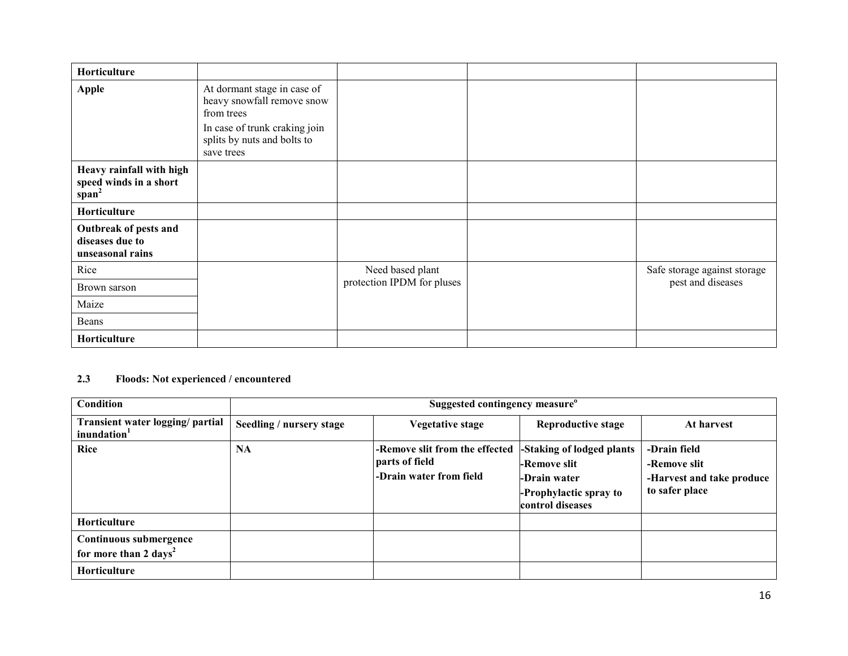| Horticulture                                                   |                                                                                                                                         |                            |                              |
|----------------------------------------------------------------|-----------------------------------------------------------------------------------------------------------------------------------------|----------------------------|------------------------------|
| <b>Apple</b>                                                   | At dormant stage in case of<br>heavy snowfall remove snow<br>from trees<br>In case of trunk craking join<br>splits by nuts and bolts to |                            |                              |
|                                                                | save trees                                                                                                                              |                            |                              |
| Heavy rainfall with high<br>speed winds in a short<br>$span^2$ |                                                                                                                                         |                            |                              |
| Horticulture                                                   |                                                                                                                                         |                            |                              |
| Outbreak of pests and<br>diseases due to<br>unseasonal rains   |                                                                                                                                         |                            |                              |
| Rice                                                           |                                                                                                                                         | Need based plant           | Safe storage against storage |
| Brown sarson                                                   |                                                                                                                                         | protection IPDM for pluses | pest and diseases            |
| Maize                                                          |                                                                                                                                         |                            |                              |
| Beans                                                          |                                                                                                                                         |                            |                              |
| Horticulture                                                   |                                                                                                                                         |                            |                              |

#### 2.3 Floods: Not experienced / encountered

| Condition                                                   | Suggested contingency measure <sup>o</sup> |                                                                             |                                                                                                         |                                                                             |  |  |  |
|-------------------------------------------------------------|--------------------------------------------|-----------------------------------------------------------------------------|---------------------------------------------------------------------------------------------------------|-----------------------------------------------------------------------------|--|--|--|
| Transient water logging/ partial<br>inundation <sup>1</sup> | Seedling / nursery stage                   | <b>Vegetative stage</b>                                                     | <b>Reproductive stage</b>                                                                               | At harvest                                                                  |  |  |  |
| <b>Rice</b>                                                 | <b>NA</b>                                  | -Remove slit from the effected<br>parts of field<br>-Drain water from field | -Staking of lodged plants<br>-Remove slit<br>-Drain water<br>-Prophylactic spray to<br>control diseases | -Drain field<br>-Remove slit<br>-Harvest and take produce<br>to safer place |  |  |  |
| Horticulture                                                |                                            |                                                                             |                                                                                                         |                                                                             |  |  |  |
| Continuous submergence<br>for more than 2 days <sup>2</sup> |                                            |                                                                             |                                                                                                         |                                                                             |  |  |  |
| Horticulture                                                |                                            |                                                                             |                                                                                                         |                                                                             |  |  |  |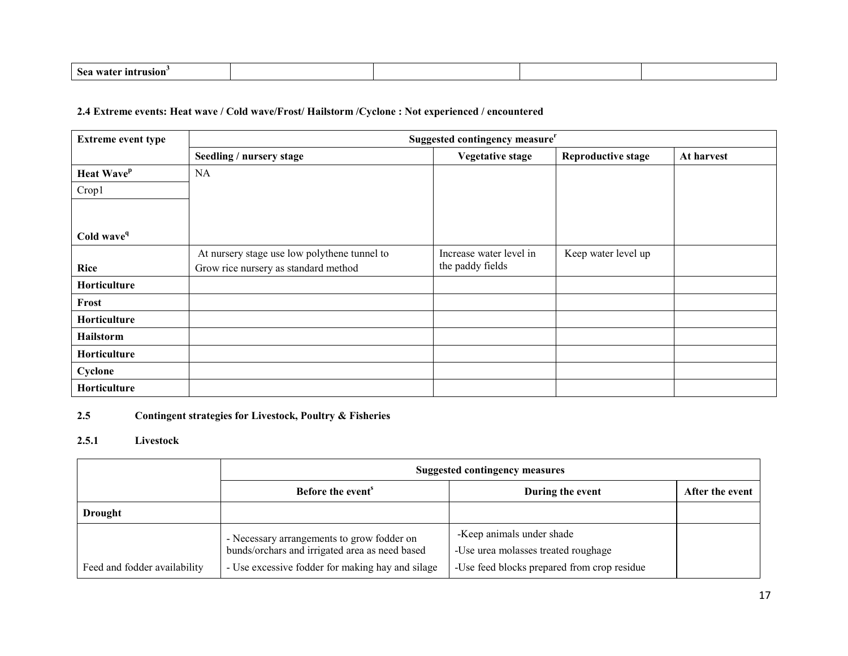| $\mathbf{A}$<br>,,,,<br>мин |  |  |
|-----------------------------|--|--|
|                             |  |  |

### 2.4 Extreme events: Heat wave / Cold wave/Frost/ Hailstorm /Cyclone : Not experienced / encountered

| <b>Extreme event type</b> | Suggested contingency measure <sup>r</sup>   |                         |                           |            |
|---------------------------|----------------------------------------------|-------------------------|---------------------------|------------|
|                           | Seedling / nursery stage                     | <b>Vegetative stage</b> | <b>Reproductive stage</b> | At harvest |
| Heat Wave <sup>p</sup>    | <b>NA</b>                                    |                         |                           |            |
| Crop1                     |                                              |                         |                           |            |
|                           |                                              |                         |                           |            |
|                           |                                              |                         |                           |            |
| Cold wave <sup>q</sup>    |                                              |                         |                           |            |
|                           | At nursery stage use low polythene tunnel to | Increase water level in | Keep water level up       |            |
| <b>Rice</b>               | Grow rice nursery as standard method         | the paddy fields        |                           |            |
| Horticulture              |                                              |                         |                           |            |
| Frost                     |                                              |                         |                           |            |
| Horticulture              |                                              |                         |                           |            |
| Hailstorm                 |                                              |                         |                           |            |
| Horticulture              |                                              |                         |                           |            |
| Cyclone                   |                                              |                         |                           |            |
| Horticulture              |                                              |                         |                           |            |

#### 2.5Contingent strategies for Livestock, Poultry & Fisheries

### 2.5.1 Livestock

|                              | <b>Suggested contingency measures</b>                                                                                                            |                                                                                                                 |                 |
|------------------------------|--------------------------------------------------------------------------------------------------------------------------------------------------|-----------------------------------------------------------------------------------------------------------------|-----------------|
|                              | Before the event <sup>8</sup>                                                                                                                    | During the event                                                                                                | After the event |
| <b>Drought</b>               |                                                                                                                                                  |                                                                                                                 |                 |
| Feed and fodder availability | - Necessary arrangements to grow fodder on<br>bunds/orchars and irrigated area as need based<br>- Use excessive fodder for making hay and silage | -Keep animals under shade<br>-Use urea molasses treated roughage<br>-Use feed blocks prepared from crop residue |                 |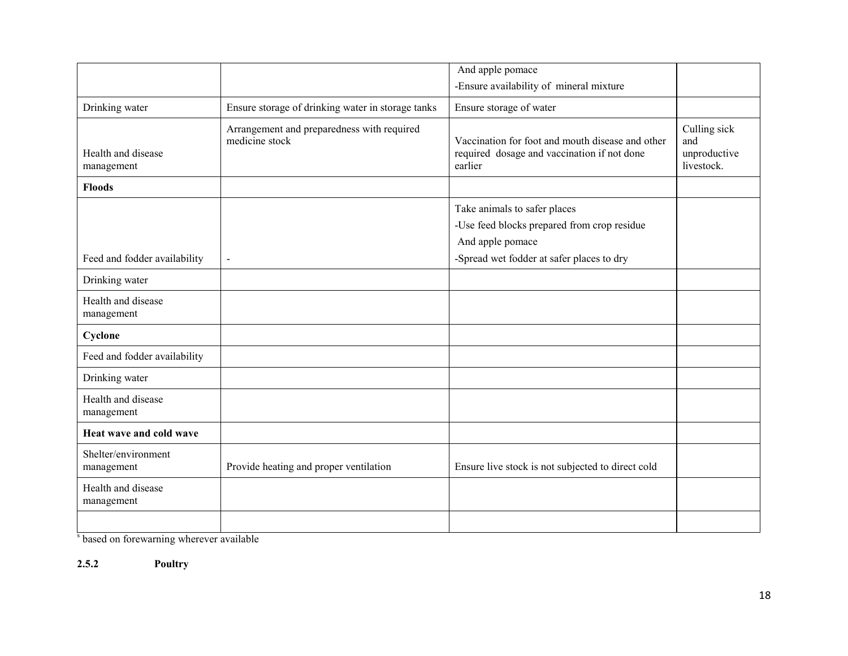|                                   |                                                              | And apple pomace                                                                                                                             |                                                   |
|-----------------------------------|--------------------------------------------------------------|----------------------------------------------------------------------------------------------------------------------------------------------|---------------------------------------------------|
|                                   |                                                              | -Ensure availability of mineral mixture                                                                                                      |                                                   |
| Drinking water                    | Ensure storage of drinking water in storage tanks            | Ensure storage of water                                                                                                                      |                                                   |
| Health and disease<br>management  | Arrangement and preparedness with required<br>medicine stock | Vaccination for foot and mouth disease and other<br>required dosage and vaccination if not done<br>earlier                                   | Culling sick<br>and<br>unproductive<br>livestock. |
| <b>Floods</b>                     |                                                              |                                                                                                                                              |                                                   |
| Feed and fodder availability      | $\blacksquare$                                               | Take animals to safer places<br>-Use feed blocks prepared from crop residue<br>And apple pomace<br>-Spread wet fodder at safer places to dry |                                                   |
| Drinking water                    |                                                              |                                                                                                                                              |                                                   |
| Health and disease<br>management  |                                                              |                                                                                                                                              |                                                   |
| Cyclone                           |                                                              |                                                                                                                                              |                                                   |
| Feed and fodder availability      |                                                              |                                                                                                                                              |                                                   |
| Drinking water                    |                                                              |                                                                                                                                              |                                                   |
| Health and disease<br>management  |                                                              |                                                                                                                                              |                                                   |
| Heat wave and cold wave           |                                                              |                                                                                                                                              |                                                   |
| Shelter/environment<br>management | Provide heating and proper ventilation                       | Ensure live stock is not subjected to direct cold                                                                                            |                                                   |
| Health and disease<br>management  |                                                              |                                                                                                                                              |                                                   |
|                                   |                                                              |                                                                                                                                              |                                                   |

s based on forewarning wherever available

2.5.2 Poultry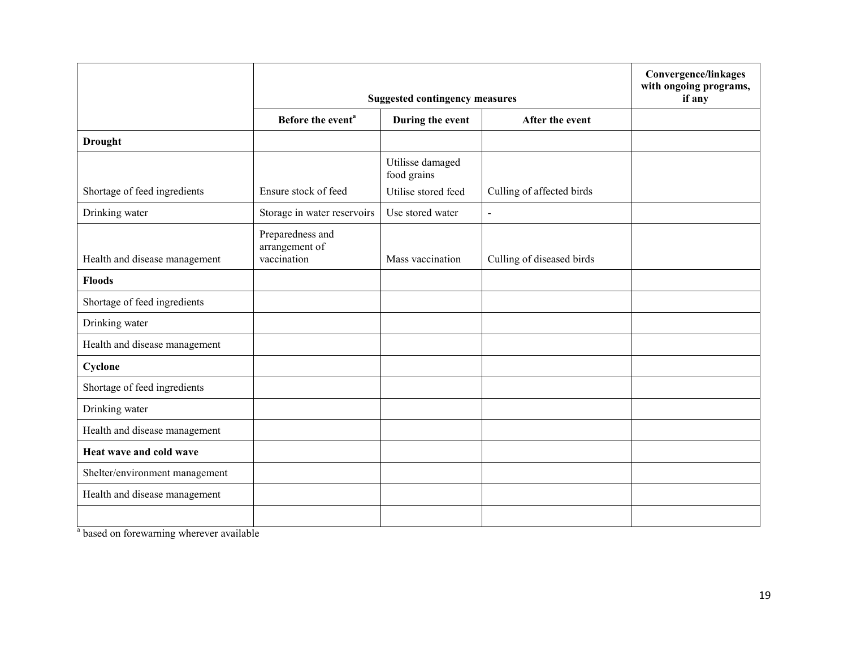|                                | <b>Suggested contingency measures</b>             |                                 |                           | Convergence/linkages<br>with ongoing programs,<br>if any |
|--------------------------------|---------------------------------------------------|---------------------------------|---------------------------|----------------------------------------------------------|
|                                | Before the event <sup>a</sup>                     | During the event                | After the event           |                                                          |
| <b>Drought</b>                 |                                                   |                                 |                           |                                                          |
|                                | Ensure stock of feed                              | Utilisse damaged<br>food grains |                           |                                                          |
| Shortage of feed ingredients   |                                                   | Utilise stored feed             | Culling of affected birds |                                                          |
| Drinking water                 | Storage in water reservoirs                       | Use stored water                | $\blacksquare$            |                                                          |
| Health and disease management  | Preparedness and<br>arrangement of<br>vaccination | Mass vaccination                | Culling of diseased birds |                                                          |
| <b>Floods</b>                  |                                                   |                                 |                           |                                                          |
| Shortage of feed ingredients   |                                                   |                                 |                           |                                                          |
| Drinking water                 |                                                   |                                 |                           |                                                          |
| Health and disease management  |                                                   |                                 |                           |                                                          |
| Cyclone                        |                                                   |                                 |                           |                                                          |
| Shortage of feed ingredients   |                                                   |                                 |                           |                                                          |
| Drinking water                 |                                                   |                                 |                           |                                                          |
| Health and disease management  |                                                   |                                 |                           |                                                          |
| Heat wave and cold wave        |                                                   |                                 |                           |                                                          |
| Shelter/environment management |                                                   |                                 |                           |                                                          |
| Health and disease management  |                                                   |                                 |                           |                                                          |
|                                |                                                   |                                 |                           |                                                          |

<sup>a</sup> based on forewarning wherever available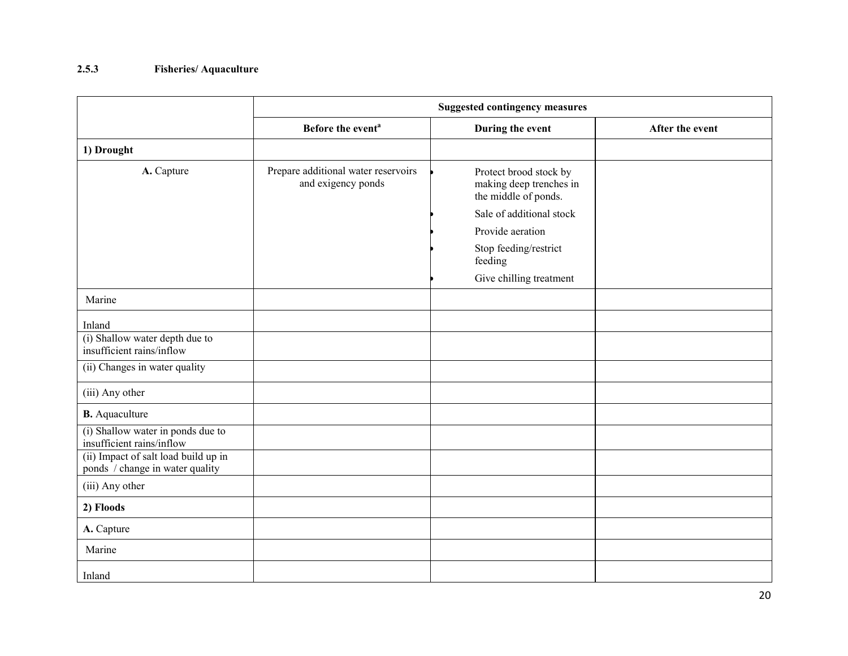### 2.5.3 Fisheries/ Aquaculture

|                                                                         | <b>Suggested contingency measures</b>                     |                                                                           |                 |  |
|-------------------------------------------------------------------------|-----------------------------------------------------------|---------------------------------------------------------------------------|-----------------|--|
|                                                                         | Before the event <sup>a</sup>                             | During the event                                                          | After the event |  |
| 1) Drought                                                              |                                                           |                                                                           |                 |  |
| A. Capture                                                              | Prepare additional water reservoirs<br>and exigency ponds | Protect brood stock by<br>making deep trenches in<br>the middle of ponds. |                 |  |
|                                                                         |                                                           | Sale of additional stock                                                  |                 |  |
|                                                                         |                                                           | Provide aeration                                                          |                 |  |
|                                                                         |                                                           | Stop feeding/restrict<br>feeding                                          |                 |  |
|                                                                         |                                                           | Give chilling treatment                                                   |                 |  |
| Marine                                                                  |                                                           |                                                                           |                 |  |
| Inland                                                                  |                                                           |                                                                           |                 |  |
| (i) Shallow water depth due to<br>insufficient rains/inflow             |                                                           |                                                                           |                 |  |
| (ii) Changes in water quality                                           |                                                           |                                                                           |                 |  |
| (iii) Any other                                                         |                                                           |                                                                           |                 |  |
| <b>B.</b> Aquaculture                                                   |                                                           |                                                                           |                 |  |
| (i) Shallow water in ponds due to<br>insufficient rains/inflow          |                                                           |                                                                           |                 |  |
| (ii) Impact of salt load build up in<br>ponds / change in water quality |                                                           |                                                                           |                 |  |
| (iii) Any other                                                         |                                                           |                                                                           |                 |  |
| 2) Floods                                                               |                                                           |                                                                           |                 |  |
| A. Capture                                                              |                                                           |                                                                           |                 |  |
| Marine                                                                  |                                                           |                                                                           |                 |  |
| Inland                                                                  |                                                           |                                                                           |                 |  |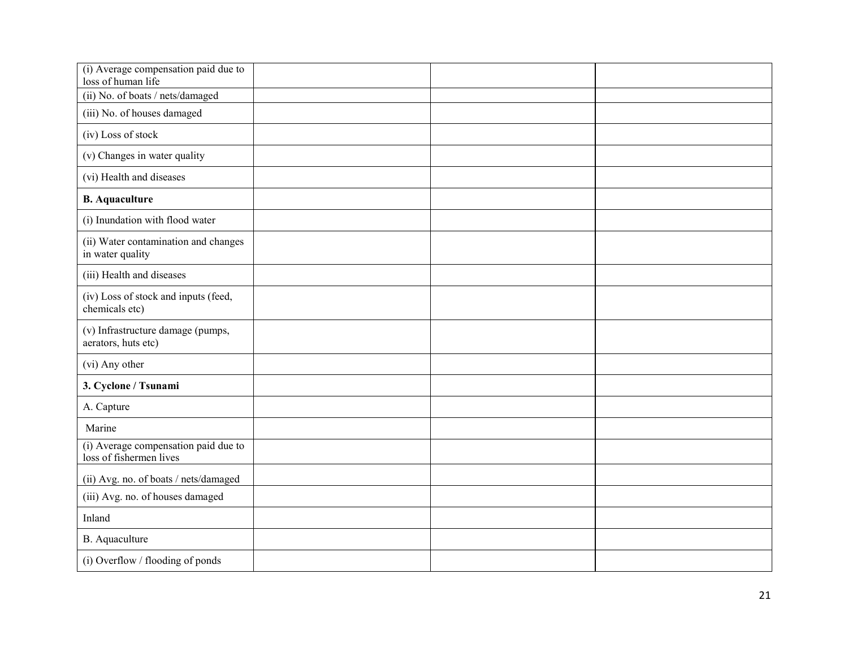| (i) Average compensation paid due to<br>loss of human life      |  |  |
|-----------------------------------------------------------------|--|--|
| (ii) No. of boats / nets/damaged                                |  |  |
| (iii) No. of houses damaged                                     |  |  |
| (iv) Loss of stock                                              |  |  |
| (v) Changes in water quality                                    |  |  |
| (vi) Health and diseases                                        |  |  |
| <b>B.</b> Aquaculture                                           |  |  |
| (i) Inundation with flood water                                 |  |  |
| (ii) Water contamination and changes<br>in water quality        |  |  |
| (iii) Health and diseases                                       |  |  |
| (iv) Loss of stock and inputs (feed,<br>chemicals etc)          |  |  |
| (v) Infrastructure damage (pumps,<br>aerators, huts etc)        |  |  |
| (vi) Any other                                                  |  |  |
| 3. Cyclone / Tsunami                                            |  |  |
| A. Capture                                                      |  |  |
| Marine                                                          |  |  |
| (i) Average compensation paid due to<br>loss of fishermen lives |  |  |
| (ii) Avg. no. of boats / nets/damaged                           |  |  |
| (iii) Avg. no. of houses damaged                                |  |  |
| Inland                                                          |  |  |
| B. Aquaculture                                                  |  |  |
| (i) Overflow / flooding of ponds                                |  |  |